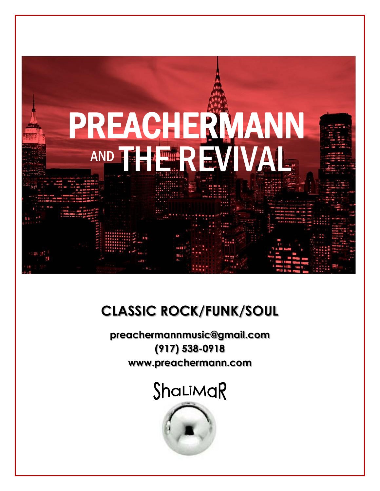

### **CLASSIC ROCK/FUNK/SOUL**

**preachermannmusic@gmail.com (917) 538-0918 www.preachermann.com**

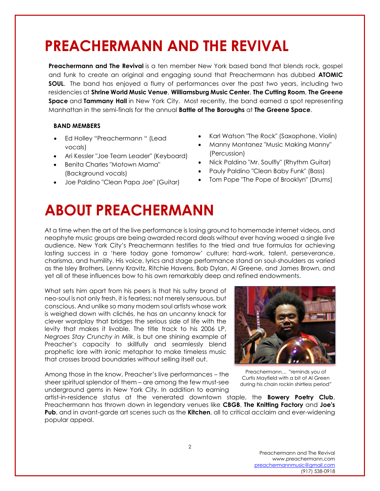# **PREACHERMANN AND THE REVIVAL**

**Preachermann and The Revival** is a ten member New York based band that blends rock, gospel and funk to create an original and engaging sound that Preachermann has dubbed **ATOMIC SOUL.** The band has enjoyed a flurry of performances over the past two years, including two residencies at **Shrine World Music Venue**, **Williamsburg Music Center**, **The Cutting Room**, **The Greene Space** and **Tammany Hall** in New York City. Most recently, the band earned a spot representing Manhattan in the semi-finals for the annual **Battle of The Boroughs** at **The Greene Space**.

### **BAND MEMBERS**

- Ed Holley "Preachermann " (Lead vocals)
- Ari Kessler "Joe Team Leader" (Keyboard)
- Benita Charles "Motown Mama" (Background vocals)
- Joe Paldino "Clean Papa Joe" (Guitar)
- Karl Watson "The Rock" (Saxophone, Violin)
- Manny Montanez "Music Making Manny" (Percussion)
- Nick Paldino "Mr. Soulfly" (Rhythm Guitar)
- Pauly Paldino "Clean Baby Funk" (Bass)
- Tom Pope "The Pope of Brooklyn" (Drums)

# **ABOUT PREACHERMANN**

At a time when the art of the live performance is losing ground to homemade internet videos, and neophyte music groups are being awarded record deals without ever having wooed a single live audience, New York City's Preachermann testifies to the tried and true formulas for achieving lasting success in a 'here today gone tomorrow' culture: hard-work, talent, perseverance, charisma, and humility. His voice, lyrics and stage performance stand on soul-shoulders as varied as the Isley Brothers, Lenny Kravitz, Ritchie Havens, Bob Dylan, Al Greene, and James Brown, and yet all of these influences bow to his own remarkably deep and refined endowments.

What sets him apart from his peers is that his sultry brand of neo-soul is not only fresh, it is fearless; not merely sensuous, but conscious. And unlike so many modern soul artists whose work is weighed down with clichés, he has an uncanny knack for clever wordplay that bridges the serious side of life with the levity that makes it livable. The title track to his 2006 LP, *Negroes Stay Crunchy in Milk*, is but one shining example of Preacher's capacity to skillfully and seamlessly blend prophetic lore with ironic metaphor to make timeless music that crosses broad boundaries without selling itself out.

Among those in the know, Preacher's live performances – the sheer spiritual splendor of them – are among the few must-see underground gems in New York City. In addition to earning



Preachermann… "reminds you of Curtis Mayfield with a bit of Al Green during his chain rockin shirtless period"

artist-in-residence status at the venerated downtown staple, the **Bowery Poetry Club**, Preachermann has thrown down in legendary venues like **CBGB**, **The Knitting Factory** and **Joe's Pub**, and in avant-garde art scenes such as the **Kitchen**, all to critical acclaim and ever-widening popular appeal.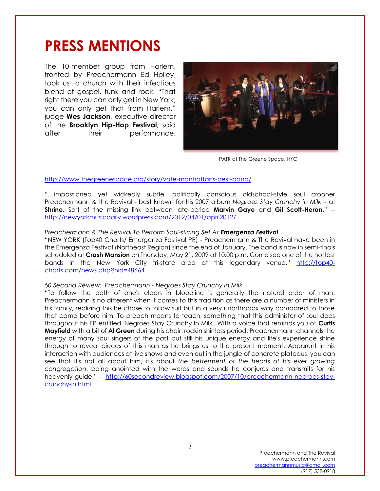### **PRESS MENTIONS**

The 10-member group from Harlem, fronted by Preachermann Ed Holley, took us to church with their infectious blend of gospel, funk and rock. "That right there you can only get in New York; you can only get that from Harlem," judge **Wes Jackson**, executive director of the **Brooklyn Hip-Hop Festival**, said after their performance.



PATR at The Greene Space, NYC

#### <http://www.thegreenespace.org/story/vote-manhattans-best-band/>

"…impassioned yet wickedly subtle, politically conscious oldschool-style soul crooner Preachermann & the Revival - best known for his 2007 album *Negroes Stay Crunchy in Milk* – at **Shrine**. Sort of the missing link between late-period **Marvin Gaye** and **Gil Scott-Heron**." - <http://newyorkmusicdaily.wordpress.com/2012/04/01/april2012/>

#### *Preachermann & The Revival To Perform Soul-stirring Set At Emergenza Festival*

"NEW YORK (Top40 Charts/ Emergenza Festival PR) - Preachermann & The Revival have been in the Emergenza Festival (Northeast Region) since the end of January. The band is now in semi-finals scheduled at **Crash Mansion** on Thursday, May 21, 2009 at 10:00 p.m. Come see one of the hottest bands in the New York City tri-state area at this legendary venue." [http://top40](http://top40-charts.com/news.php?nid=48664) [charts.com/news.php?nid=48664](http://top40-charts.com/news.php?nid=48664)

#### *60 Second Review: Preachermann - Negroes Stay Crunchy In Milk*

"To follow the path of one's elders in bloodline is generally the natural order of man. Preachermann is no different when it comes to this tradition as there are a number of ministers in his family, realizing this he chose to follow suit but in a very unorthodox way compared to those that came before him. To preach means to teach, something that this administer of soul does throughout his EP entitled 'Negroes Stay Crunchy In Milk'. With a voice that reminds you of **Curtis Mayfield** with a bit of **Al Green** during his chain rockin shirtless period, Preachermann channels the energy of many soul singers of the past but still his unique energy and life's experience shine through to reveal pieces of this man as he brings us to the present moment. Apparent in his interaction with audiences at live shows and even out in the jungle of concrete plateaus, you can see that it's not all about him, it's about *the betterment of the hearts of his ever growing congregation*, being anointed with the words and sounds he conjures and transmits for his heavenly guide." -- [http://60secondreview.blogspot.com/2007/10/preachermann-negroes-stay](http://60secondreview.blogspot.com/2007/10/preachermann-negroes-stay-crunchy-in.html)[crunchy-in.html](http://60secondreview.blogspot.com/2007/10/preachermann-negroes-stay-crunchy-in.html)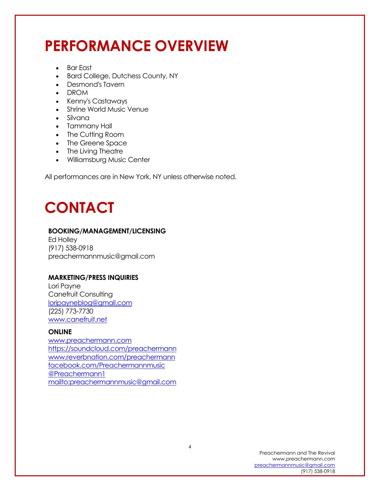# **PERFORMANCE OVERVIEW**

- Bar East
- Bard College, Dutchess County, NY
- Desmond's Tavern
- DROM
- Kenny's Castaways
- Shrine World Music Venue
- Silvana
- Tammany Hall
- The Cutting Room
- The Greene Space
- The Living Theatre
- Williamsburg Music Center

All performances are in New York, NY unless otherwise noted.

### **CONTACT**

### **BOOKING/MANAGEMENT/LICENSING**

Ed Holley (917) 538-0918 [preachermannmusic@gmail.com](mailto:preachermannmusic@gmail.com)

### **MARKETING/PRESS INQUIRIES**

Lori Payne Canefruit Consulting [loripayneblog@gmail.com](mailto:loripayneblog@gmail.com) (225) 773-7730 <www.canefruit.net>

### **ONLINE**

[www.preachermann.com](http://www.preachermann.com/) <https://soundcloud.com/preachermann> [www.reverbnation.com/preachermann](http://www.reverbnation.com/preachermann) [facebook.com/Preachermannmusic](https://www.facebook.com/Preachermannmusic) [@Preachermann1](https://twitter.com/Preachermann1) <mailto:preachermannmusic@gmail.com>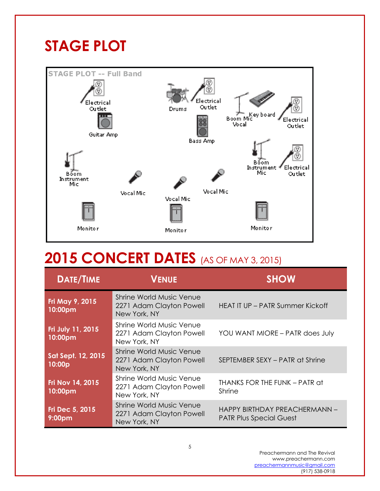# **STAGE PLOT**



## **2015 CONCERT DATES** (AS OF MAY 3, 2015)

| <b>DATE/TIME</b>                      | <b>VENUE</b>                                                                | <b>SHOW</b>                                                     |
|---------------------------------------|-----------------------------------------------------------------------------|-----------------------------------------------------------------|
| Fri May 9, 2015<br>10:00pm            | Shrine World Music Venue<br>2271 Adam Clayton Powell<br>New York, NY        | HEAT IT UP - PATR Summer Kickoff                                |
| Fri July 11, 2015<br>10:00pm          | Shrine World Music Venue<br>2271 Adam Clayton Powell<br>New York, NY        | YOU WANT MIORE - PATR does July                                 |
| Sat Sept. 12, 2015<br>10:00p          | <b>Shrine World Music Venue</b><br>2271 Adam Clayton Powell<br>New York, NY | SEPTEMBER SEXY - PATR at Shrine                                 |
| Fri Nov 14, 2015<br>10:00pm           | Shrine World Music Venue<br>2271 Adam Clayton Powell<br>New York, NY        | THANKS FOR THE FUNK - PATR at<br>Shrine                         |
| Fri Dec 5, 2015<br>9:00 <sub>pm</sub> | Shrine World Music Venue<br>2271 Adam Clayton Powell<br>New York, NY        | HAPPY BIRTHDAY PREACHERMANN -<br><b>PATR Plus Special Guest</b> |